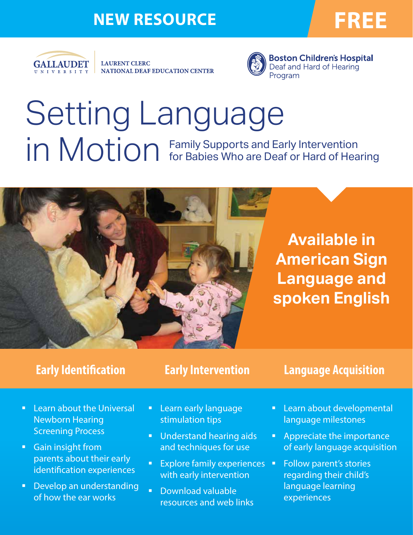## NEW RESOURCE **FREE**



**LAURENT CLERC** NATIONAL DEAF EDUCATION CENTER



Setting Language in Motion Family Supports and Early Intervention<br>in Motion for Babies Who are Deaf or Hard of Hearing



**Available in American Sign Language and spoken English**

## **Early Identification**

**Early Intervention**

## **Language Acquisition**

- **E.** Learn about the Universal Newborn Hearing Screening Process
- Gain insight from parents about their early identification experiences
- **•** Develop an understanding of how the ear works
- **E** Learn early language stimulation tips
- **■** Understand hearing aids and techniques for use
- **Explore family experiences** with early intervention
- § Download valuable resources and web links
- **E** Learn about developmental language milestones
- **•** Appreciate the importance of early language acquisition
- **•** Follow parent's stories regarding their child's language learning experiences